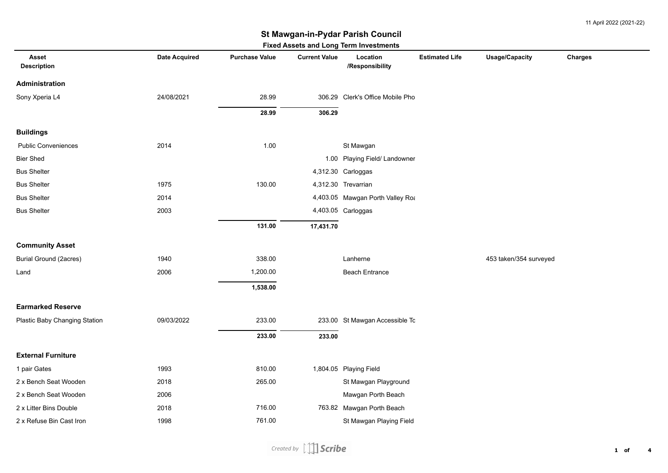11 April 2022 (2021-22)

### **St Mawgan-in-Pydar Parish Council**

| Fixed Assets and Long Term investments |                      |                       |                      |                                  |                       |                        |         |  |  |
|----------------------------------------|----------------------|-----------------------|----------------------|----------------------------------|-----------------------|------------------------|---------|--|--|
| <b>Asset</b><br><b>Description</b>     | <b>Date Acquired</b> | <b>Purchase Value</b> | <b>Current Value</b> | Location<br>/Responsibility      | <b>Estimated Life</b> | <b>Usage/Capacity</b>  | Charges |  |  |
| Administration                         |                      |                       |                      |                                  |                       |                        |         |  |  |
| Sony Xperia L4                         | 24/08/2021           | 28.99                 |                      | 306.29 Clerk's Office Mobile Pho |                       |                        |         |  |  |
|                                        |                      | 28.99                 | 306.29               |                                  |                       |                        |         |  |  |
| <b>Buildings</b>                       |                      |                       |                      |                                  |                       |                        |         |  |  |
| <b>Public Conveniences</b>             | 2014                 | 1.00                  |                      | St Mawgan                        |                       |                        |         |  |  |
| <b>Bier Shed</b>                       |                      |                       |                      | 1.00 Playing Field/ Landowner    |                       |                        |         |  |  |
| <b>Bus Shelter</b>                     |                      |                       |                      | 4,312.30 Carloggas               |                       |                        |         |  |  |
| <b>Bus Shelter</b>                     | 1975                 | 130.00                |                      | 4,312.30 Trevarrian              |                       |                        |         |  |  |
| <b>Bus Shelter</b>                     | 2014                 |                       |                      | 4,403.05 Mawgan Porth Valley Roa |                       |                        |         |  |  |
| <b>Bus Shelter</b>                     | 2003                 |                       |                      | 4,403.05 Carloggas               |                       |                        |         |  |  |
|                                        |                      | 131.00                | 17,431.70            |                                  |                       |                        |         |  |  |
| <b>Community Asset</b>                 |                      |                       |                      |                                  |                       |                        |         |  |  |
| <b>Burial Ground (2acres)</b>          | 1940                 | 338.00                |                      | Lanherne                         |                       | 453 taken/354 surveyed |         |  |  |
| Land                                   | 2006                 | 1,200.00              |                      | <b>Beach Entrance</b>            |                       |                        |         |  |  |
|                                        |                      | 1,538.00              |                      |                                  |                       |                        |         |  |  |
| <b>Earmarked Reserve</b>               |                      |                       |                      |                                  |                       |                        |         |  |  |
| Plastic Baby Changing Station          | 09/03/2022           | 233.00                |                      | 233.00 St Mawgan Accessible Tc   |                       |                        |         |  |  |
|                                        |                      | 233.00                | 233.00               |                                  |                       |                        |         |  |  |
| <b>External Furniture</b>              |                      |                       |                      |                                  |                       |                        |         |  |  |
| 1 pair Gates                           | 1993                 | 810.00                |                      | 1,804.05 Playing Field           |                       |                        |         |  |  |
| 2 x Bench Seat Wooden                  | 2018                 | 265.00                |                      | St Mawgan Playground             |                       |                        |         |  |  |
| 2 x Bench Seat Wooden                  | 2006                 |                       |                      | Mawgan Porth Beach               |                       |                        |         |  |  |
| 2 x Litter Bins Double                 | 2018                 | 716.00                |                      | 763.82 Mawgan Porth Beach        |                       |                        |         |  |  |
| 2 x Refuse Bin Cast Iron               | 1998                 | 761.00                |                      | St Mawgan Playing Field          |                       |                        |         |  |  |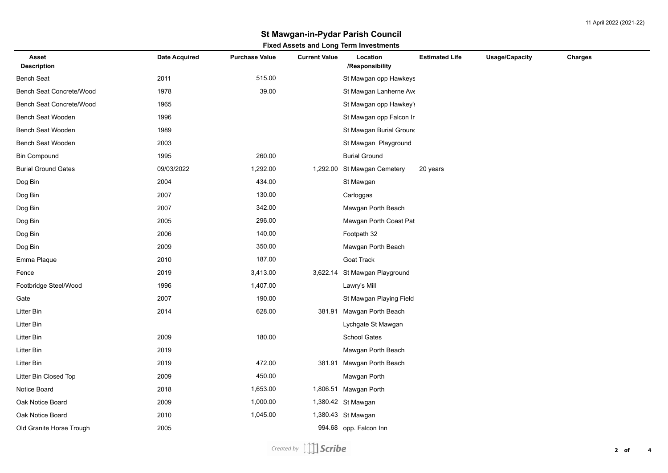# **St Mawgan-in-Pydar Parish Council**

#### **Fixed Assets and Long Term Investments**

| Asset<br><b>Description</b> | <b>Date Acquired</b> | <b>Purchase Value</b> | <b>Current Value</b> | Location<br>/Responsibility   | <b>Estimated Life</b> | <b>Usage/Capacity</b> | Charges |
|-----------------------------|----------------------|-----------------------|----------------------|-------------------------------|-----------------------|-----------------------|---------|
| <b>Bench Seat</b>           | 2011                 | 515.00                |                      | St Mawgan opp Hawkeys         |                       |                       |         |
| Bench Seat Concrete/Wood    | 1978                 | 39.00                 |                      | St Mawgan Lanherne Ave        |                       |                       |         |
| Bench Seat Concrete/Wood    | 1965                 |                       |                      | St Mawgan opp Hawkey's        |                       |                       |         |
| Bench Seat Wooden           | 1996                 |                       |                      | St Mawgan opp Falcon Ir       |                       |                       |         |
| Bench Seat Wooden           | 1989                 |                       |                      | St Mawgan Burial Ground       |                       |                       |         |
| Bench Seat Wooden           | 2003                 |                       |                      | St Mawgan Playground          |                       |                       |         |
| <b>Bin Compound</b>         | 1995                 | 260.00                |                      | <b>Burial Ground</b>          |                       |                       |         |
| <b>Burial Ground Gates</b>  | 09/03/2022           | 1,292.00              | 1,292.00             | St Mawgan Cemetery            | 20 years              |                       |         |
| Dog Bin                     | 2004                 | 434.00                |                      | St Mawgan                     |                       |                       |         |
| Dog Bin                     | 2007                 | 130.00                |                      | Carloggas                     |                       |                       |         |
| Dog Bin                     | 2007                 | 342.00                |                      | Mawgan Porth Beach            |                       |                       |         |
| Dog Bin                     | 2005                 | 296.00                |                      | Mawgan Porth Coast Pat        |                       |                       |         |
| Dog Bin                     | 2006                 | 140.00                |                      | Footpath 32                   |                       |                       |         |
| Dog Bin                     | 2009                 | 350.00                |                      | Mawgan Porth Beach            |                       |                       |         |
| Emma Plaque                 | 2010                 | 187.00                |                      | Goat Track                    |                       |                       |         |
| Fence                       | 2019                 | 3,413.00              |                      | 3,622.14 St Mawgan Playground |                       |                       |         |
| Footbridge Steel/Wood       | 1996                 | 1,407.00              |                      | Lawry's Mill                  |                       |                       |         |
| Gate                        | 2007                 | 190.00                |                      | St Mawgan Playing Field       |                       |                       |         |
| Litter Bin                  | 2014                 | 628.00                | 381.91               | Mawgan Porth Beach            |                       |                       |         |
| Litter Bin                  |                      |                       |                      | Lychgate St Mawgan            |                       |                       |         |
| Litter Bin                  | 2009                 | 180.00                |                      | School Gates                  |                       |                       |         |
| Litter Bin                  | 2019                 |                       |                      | Mawgan Porth Beach            |                       |                       |         |
| Litter Bin                  | 2019                 | 472.00                | 381.91               | Mawgan Porth Beach            |                       |                       |         |
| Litter Bin Closed Top       | 2009                 | 450.00                |                      | Mawgan Porth                  |                       |                       |         |
| Notice Board                | 2018                 | 1,653.00              |                      | 1,806.51 Mawgan Porth         |                       |                       |         |
| Oak Notice Board            | 2009                 | 1,000.00              |                      | 1,380.42 St Mawgan            |                       |                       |         |
| Oak Notice Board            | 2010                 | 1,045.00              |                      | 1,380.43 St Mawgan            |                       |                       |         |
| Old Granite Horse Trough    | 2005                 |                       |                      | 994.68 opp. Falcon Inn        |                       |                       |         |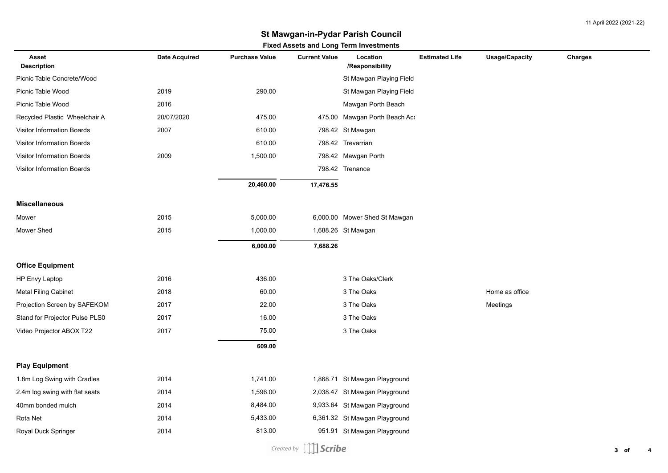11 April 2022 (2021-22)

## **St Mawgan-in-Pydar Parish Council**

### **Fixed Assets and Long Term Investments**

| <b>Asset</b><br><b>Description</b> | <b>Date Acquired</b> | <b>Purchase Value</b> | <b>Current Value</b> | Location<br>/Responsibility   | <b>Estimated Life</b> | <b>Usage/Capacity</b> | Charges |
|------------------------------------|----------------------|-----------------------|----------------------|-------------------------------|-----------------------|-----------------------|---------|
| Picnic Table Concrete/Wood         |                      |                       |                      | St Mawgan Playing Field       |                       |                       |         |
| Picnic Table Wood                  | 2019                 | 290.00                |                      | St Mawgan Playing Field       |                       |                       |         |
| Picnic Table Wood                  | 2016                 |                       |                      | Mawgan Porth Beach            |                       |                       |         |
| Recycled Plastic Wheelchair A      | 20/07/2020           | 475.00                | 475.00               | Mawgan Porth Beach Aco        |                       |                       |         |
| <b>Visitor Information Boards</b>  | 2007                 | 610.00                |                      | 798.42 St Mawgan              |                       |                       |         |
| Visitor Information Boards         |                      | 610.00                |                      | 798.42 Trevarrian             |                       |                       |         |
| Visitor Information Boards         | 2009                 | 1,500.00              |                      | 798.42 Mawgan Porth           |                       |                       |         |
| <b>Visitor Information Boards</b>  |                      |                       |                      | 798.42 Trenance               |                       |                       |         |
|                                    |                      | 20,460.00             | 17,476.55            |                               |                       |                       |         |
| <b>Miscellaneous</b>               |                      |                       |                      |                               |                       |                       |         |
| Mower                              | 2015                 | 5,000.00              |                      | 6,000.00 Mower Shed St Mawgan |                       |                       |         |
| Mower Shed                         | 2015                 | 1,000.00              |                      | 1,688.26 St Mawgan            |                       |                       |         |
|                                    |                      | 6,000.00              | 7,688.26             |                               |                       |                       |         |
| <b>Office Equipment</b>            |                      |                       |                      |                               |                       |                       |         |
| HP Envy Laptop                     | 2016                 | 436.00                |                      | 3 The Oaks/Clerk              |                       |                       |         |
| <b>Metal Filing Cabinet</b>        | 2018                 | 60.00                 |                      | 3 The Oaks                    |                       | Home as office        |         |
| Projection Screen by SAFEKOM       | 2017                 | 22.00                 |                      | 3 The Oaks                    |                       | Meetings              |         |
| Stand for Projector Pulse PLS0     | 2017                 | 16.00                 |                      | 3 The Oaks                    |                       |                       |         |
| Video Projector ABOX T22           | 2017                 | 75.00                 |                      | 3 The Oaks                    |                       |                       |         |
|                                    |                      | 609.00                |                      |                               |                       |                       |         |
| <b>Play Equipment</b>              |                      |                       |                      |                               |                       |                       |         |
| 1.8m Log Swing with Cradles        | 2014                 | 1,741.00              |                      | 1,868.71 St Mawgan Playground |                       |                       |         |
| 2.4m log swing with flat seats     | 2014                 | 1,596.00              |                      | 2,038.47 St Mawgan Playground |                       |                       |         |
| 40mm bonded mulch                  | 2014                 | 8,484.00              |                      | 9,933.64 St Mawgan Playground |                       |                       |         |
| Rota Net                           | 2014                 | 5,433.00              |                      | 6,361.32 St Mawgan Playground |                       |                       |         |
| Royal Duck Springer                | 2014                 | 813.00                |                      | 951.91 St Mawgan Playground   |                       |                       |         |
|                                    |                      |                       |                      |                               |                       |                       |         |